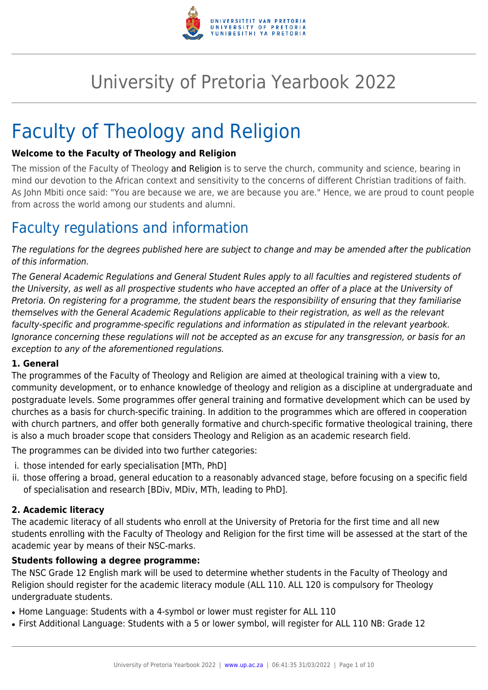

# University of Pretoria Yearbook 2022

# Faculty of Theology and Religion

#### **Welcome to the Faculty of Theology and Religion**

The mission of the Faculty of Theology and Religion is to serve the church, community and science, bearing in mind our devotion to the African context and sensitivity to the concerns of different Christian traditions of faith. As John Mbiti once said: "You are because we are, we are because you are." Hence, we are proud to count people from across the world among our students and alumni.

# Faculty regulations and information

The regulations for the degrees published here are subject to change and may be amended after the publication of this information.

The General Academic Regulations and General Student Rules apply to all faculties and registered students of the University, as well as all prospective students who have accepted an offer of a place at the University of Pretoria. On registering for a programme, the student bears the responsibility of ensuring that they familiarise themselves with the General Academic Regulations applicable to their registration, as well as the relevant faculty-specific and programme-specific regulations and information as stipulated in the relevant yearbook. Ignorance concerning these regulations will not be accepted as an excuse for any transgression, or basis for an exception to any of the aforementioned regulations.

#### **1. General**

The programmes of the Faculty of Theology and Religion are aimed at theological training with a view to, community development, or to enhance knowledge of theology and religion as a discipline at undergraduate and postgraduate levels. Some programmes offer general training and formative development which can be used by churches as a basis for church-specific training. In addition to the programmes which are offered in cooperation with church partners, and offer both generally formative and church-specific formative theological training, there is also a much broader scope that considers Theology and Religion as an academic research field.

The programmes can be divided into two further categories:

- i. those intended for early specialisation [MTh, PhD]
- ii. those offering a broad, general education to a reasonably advanced stage, before focusing on a specific field of specialisation and research [BDiv, MDiv, MTh, leading to PhD].

#### **2. Academic literacy**

The academic literacy of all students who enroll at the University of Pretoria for the first time and all new students enrolling with the Faculty of Theology and Religion for the first time will be assessed at the start of the academic year by means of their NSC-marks.

#### **Students following a degree programme:**

The NSC Grade 12 English mark will be used to determine whether students in the Faculty of Theology and Religion should register for the academic literacy module (ALL 110. ALL 120 is compulsory for Theology undergraduate students.

- Home Language: Students with a 4-symbol or lower must register for ALL 110
- First Additional Language: Students with a 5 or lower symbol, will register for ALL 110 NB: Grade 12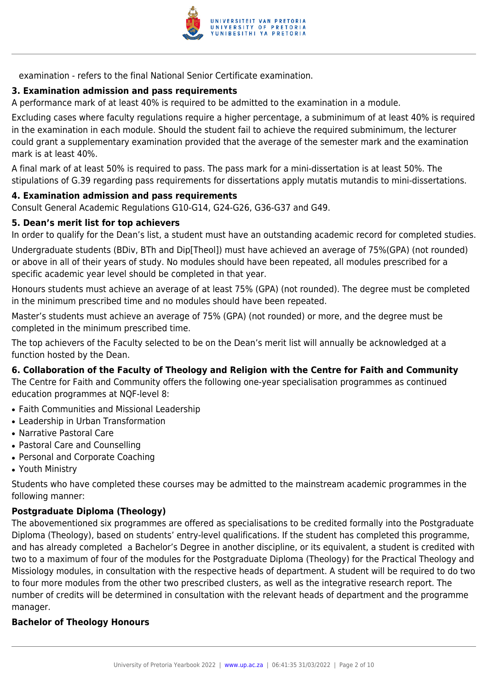

examination - refers to the final National Senior Certificate examination.

### **3. Examination admission and pass requirements**

A performance mark of at least 40% is required to be admitted to the examination in a module.

Excluding cases where faculty regulations require a higher percentage, a subminimum of at least 40% is required in the examination in each module. Should the student fail to achieve the required subminimum, the lecturer could grant a supplementary examination provided that the average of the semester mark and the examination mark is at least 40%.

A final mark of at least 50% is required to pass. The pass mark for a mini-dissertation is at least 50%. The stipulations of G.39 regarding pass requirements for dissertations apply mutatis mutandis to mini-dissertations.

#### **4. Examination admission and pass requirements**

Consult General Academic Regulations G10-G14, G24-G26, G36-G37 and G49.

#### **5. Dean's merit list for top achievers**

In order to qualify for the Dean's list, a student must have an outstanding academic record for completed studies.

Undergraduate students (BDiv, BTh and Dip[Theol]) must have achieved an average of 75%(GPA) (not rounded) or above in all of their years of study. No modules should have been repeated, all modules prescribed for a specific academic year level should be completed in that year.

Honours students must achieve an average of at least 75% (GPA) (not rounded). The degree must be completed in the minimum prescribed time and no modules should have been repeated.

Master's students must achieve an average of 75% (GPA) (not rounded) or more, and the degree must be completed in the minimum prescribed time.

The top achievers of the Faculty selected to be on the Dean's merit list will annually be acknowledged at a function hosted by the Dean.

#### **6. Collaboration of the Faculty of Theology and Religion with the Centre for Faith and Community**

The Centre for Faith and Community offers the following one-year specialisation programmes as continued education programmes at NQF-level 8:

- Faith Communities and Missional Leadership
- Leadership in Urban Transformation
- Narrative Pastoral Care
- Pastoral Care and Counselling
- Personal and Corporate Coaching
- Youth Ministry

Students who have completed these courses may be admitted to the mainstream academic programmes in the following manner:

#### **Postgraduate Diploma (Theology)**

The abovementioned six programmes are offered as specialisations to be credited formally into the Postgraduate Diploma (Theology), based on students' entry-level qualifications. If the student has completed this programme, and has already completed a Bachelor's Degree in another discipline, or its equivalent, a student is credited with two to a maximum of four of the modules for the Postgraduate Diploma (Theology) for the Practical Theology and Missiology modules, in consultation with the respective heads of department. A student will be required to do two to four more modules from the other two prescribed clusters, as well as the integrative research report. The number of credits will be determined in consultation with the relevant heads of department and the programme manager.

#### **Bachelor of Theology Honours**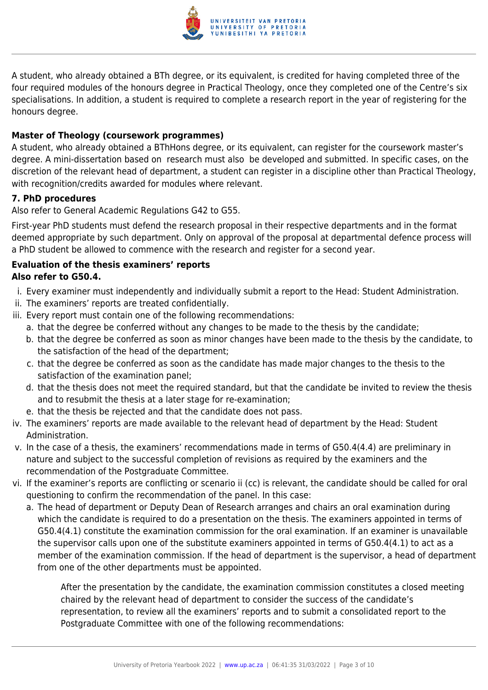

A student, who already obtained a BTh degree, or its equivalent, is credited for having completed three of the four required modules of the honours degree in Practical Theology, once they completed one of the Centre's six specialisations. In addition, a student is required to complete a research report in the year of registering for the honours degree.

### **Master of Theology (coursework programmes)**

A student, who already obtained a BThHons degree, or its equivalent, can register for the coursework master's degree. A mini-dissertation based on research must also be developed and submitted. In specific cases, on the discretion of the relevant head of department, a student can register in a discipline other than Practical Theology, with recognition/credits awarded for modules where relevant.

### **7. PhD procedures**

Also refer to General Academic Regulations G42 to G55.

First-year PhD students must defend the research proposal in their respective departments and in the format deemed appropriate by such department. Only on approval of the proposal at departmental defence process will a PhD student be allowed to commence with the research and register for a second year.

### **Evaluation of the thesis examiners' reports Also refer to G50.4.**

- i. Every examiner must independently and individually submit a report to the Head: Student Administration.
- ii. The examiners' reports are treated confidentially.
- iii. Every report must contain one of the following recommendations:
	- a. that the degree be conferred without any changes to be made to the thesis by the candidate;
	- b. that the degree be conferred as soon as minor changes have been made to the thesis by the candidate, to the satisfaction of the head of the department;
	- c. that the degree be conferred as soon as the candidate has made major changes to the thesis to the satisfaction of the examination panel;
	- d. that the thesis does not meet the required standard, but that the candidate be invited to review the thesis and to resubmit the thesis at a later stage for re-examination;
	- e. that the thesis be rejected and that the candidate does not pass.
- iv. The examiners' reports are made available to the relevant head of department by the Head: Student Administration.
- v. In the case of a thesis, the examiners' recommendations made in terms of G50.4(4.4) are preliminary in nature and subject to the successful completion of revisions as required by the examiners and the recommendation of the Postgraduate Committee.
- vi. If the examiner's reports are conflicting or scenario ii (cc) is relevant, the candidate should be called for oral questioning to confirm the recommendation of the panel. In this case:
	- a. The head of department or Deputy Dean of Research arranges and chairs an oral examination during which the candidate is required to do a presentation on the thesis. The examiners appointed in terms of G50.4(4.1) constitute the examination commission for the oral examination. If an examiner is unavailable the supervisor calls upon one of the substitute examiners appointed in terms of G50.4(4.1) to act as a member of the examination commission. If the head of department is the supervisor, a head of department from one of the other departments must be appointed.

After the presentation by the candidate, the examination commission constitutes a closed meeting chaired by the relevant head of department to consider the success of the candidate's representation, to review all the examiners' reports and to submit a consolidated report to the Postgraduate Committee with one of the following recommendations: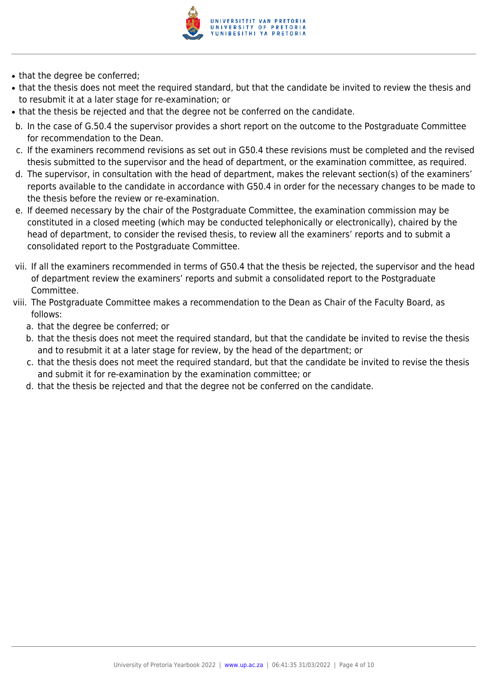

- that the degree be conferred;
- that the thesis does not meet the required standard, but that the candidate be invited to review the thesis and to resubmit it at a later stage for re-examination; or
- that the thesis be rejected and that the degree not be conferred on the candidate.
- b. In the case of G.50.4 the supervisor provides a short report on the outcome to the Postgraduate Committee for recommendation to the Dean.
- c. If the examiners recommend revisions as set out in G50.4 these revisions must be completed and the revised thesis submitted to the supervisor and the head of department, or the examination committee, as required.
- d. The supervisor, in consultation with the head of department, makes the relevant section(s) of the examiners' reports available to the candidate in accordance with G50.4 in order for the necessary changes to be made to the thesis before the review or re-examination.
- e. If deemed necessary by the chair of the Postgraduate Committee, the examination commission may be constituted in a closed meeting (which may be conducted telephonically or electronically), chaired by the head of department, to consider the revised thesis, to review all the examiners' reports and to submit a consolidated report to the Postgraduate Committee.
- vii. If all the examiners recommended in terms of G50.4 that the thesis be rejected, the supervisor and the head of department review the examiners' reports and submit a consolidated report to the Postgraduate Committee.
- viii. The Postgraduate Committee makes a recommendation to the Dean as Chair of the Faculty Board, as follows:
	- a. that the degree be conferred; or
	- b. that the thesis does not meet the required standard, but that the candidate be invited to revise the thesis and to resubmit it at a later stage for review, by the head of the department; or
	- c. that the thesis does not meet the required standard, but that the candidate be invited to revise the thesis and submit it for re-examination by the examination committee; or
	- d. that the thesis be rejected and that the degree not be conferred on the candidate.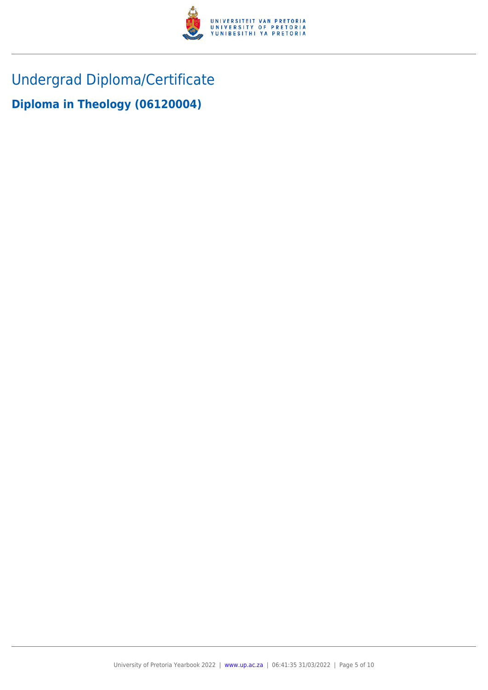

Undergrad Diploma/Certificate

**Diploma in Theology (06120004)**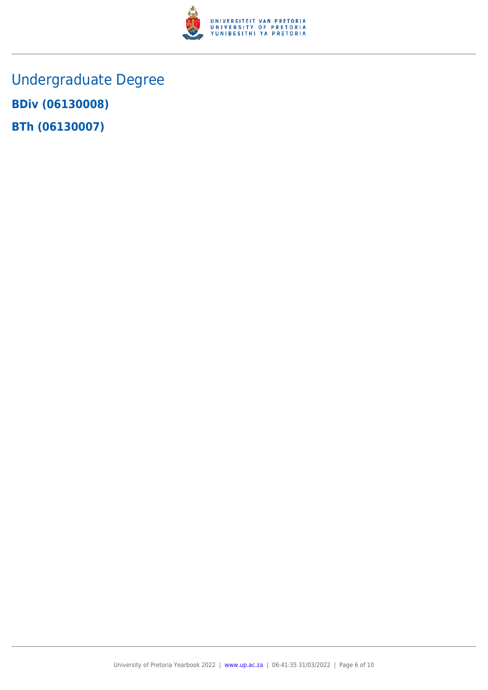

Undergraduate Degree **BDiv (06130008) BTh (06130007)**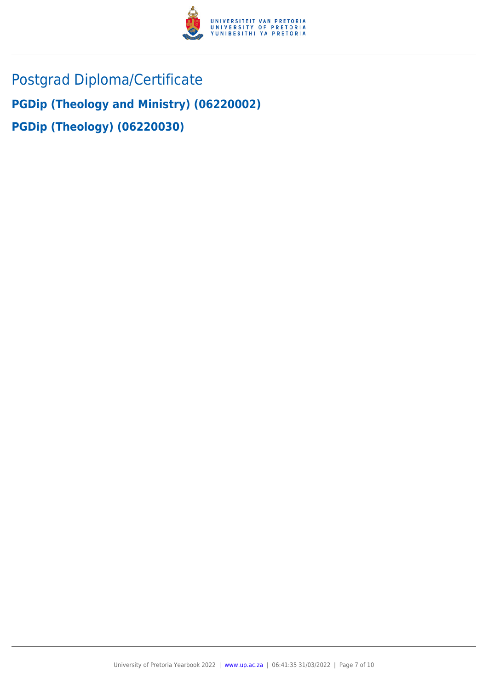

Postgrad Diploma/Certificate **PGDip (Theology and Ministry) (06220002) PGDip (Theology) (06220030)**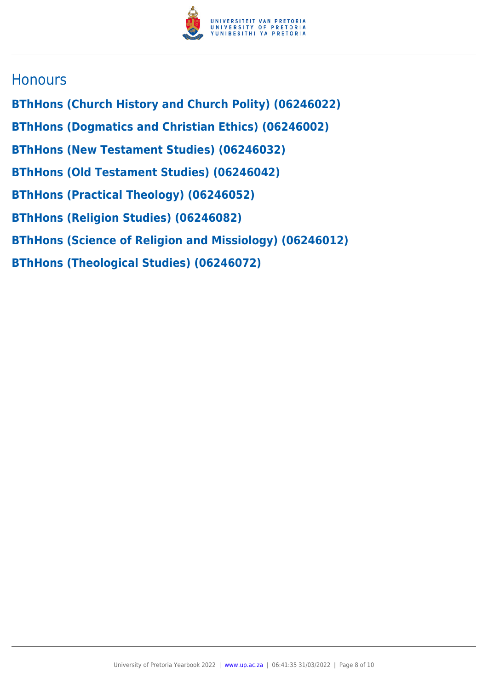

# **Honours**

- **BThHons (Church History and Church Polity) (06246022)**
- **BThHons (Dogmatics and Christian Ethics) (06246002)**
- **BThHons (New Testament Studies) (06246032)**
- **BThHons (Old Testament Studies) (06246042)**
- **BThHons (Practical Theology) (06246052)**
- **BThHons (Religion Studies) (06246082)**
- **BThHons (Science of Religion and Missiology) (06246012)**
- **BThHons (Theological Studies) (06246072)**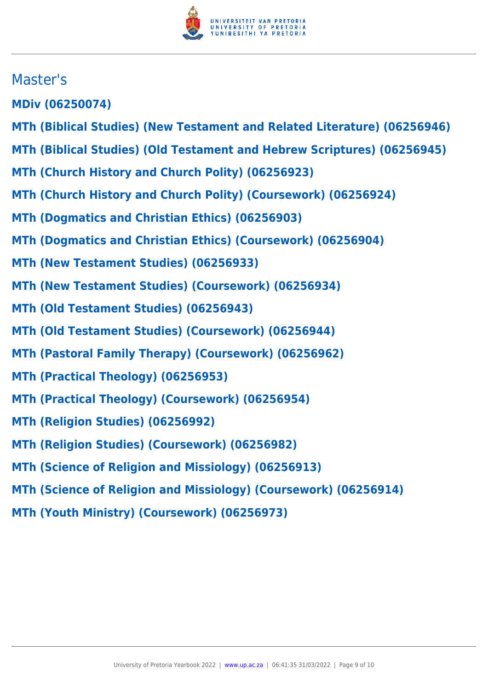

# Master's

**MDiv (06250074)**

- **MTh (Biblical Studies) (New Testament and Related Literature) (06256946)**
- **MTh (Biblical Studies) (Old Testament and Hebrew Scriptures) (06256945)**
- **MTh (Church History and Church Polity) (06256923)**
- **MTh (Church History and Church Polity) (Coursework) (06256924)**
- **MTh (Dogmatics and Christian Ethics) (06256903)**
- **MTh (Dogmatics and Christian Ethics) (Coursework) (06256904)**
- **MTh (New Testament Studies) (06256933)**
- **MTh (New Testament Studies) (Coursework) (06256934)**
- **MTh (Old Testament Studies) (06256943)**
- **MTh (Old Testament Studies) (Coursework) (06256944)**
- **MTh (Pastoral Family Therapy) (Coursework) (06256962)**
- **MTh (Practical Theology) (06256953)**
- **MTh (Practical Theology) (Coursework) (06256954)**
- **MTh (Religion Studies) (06256992)**
- **MTh (Religion Studies) (Coursework) (06256982)**
- **MTh (Science of Religion and Missiology) (06256913)**
- **MTh (Science of Religion and Missiology) (Coursework) (06256914)**
- **MTh (Youth Ministry) (Coursework) (06256973)**